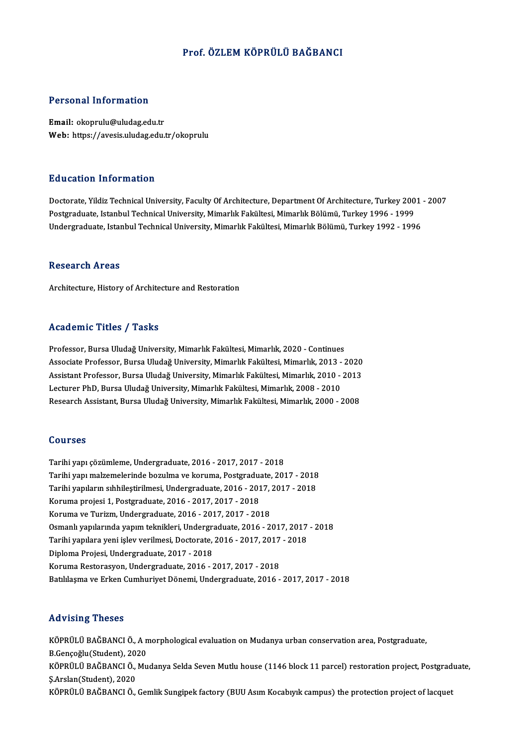## Prof. ÖZLEM KÖPRÜLÜ BAĞBANCI

## Personal Information

Email: okoprulu@uludag.edu.tr Web: https://avesis.uludag.edu.tr/okoprulu

## Education Information

Education Information<br>Doctorate, Yildiz Technical University, Faculty Of Architecture, Department Of Architecture, Turkey 2001 - 2007<br>Postsraduate Istanbul Technical University, Mimarlyk Fakültesi, Mimarlyk Pölümü, Turkey Pu u sutrom minor inutrom<br>Doctorate, Yildiz Technical University, Faculty Of Architecture, Department Of Architecture, Turkey 200<br>Postgraduate, Istanbul Technical University, Mimarlık Fakültesi, Mimarlık Bölümü, Turkey 199 Postgraduate, Istanbul Technical University, Mimarlık Fakültesi, Mimarlık Bölümü, Turkey 1996 - 1999<br>Undergraduate, Istanbul Technical University, Mimarlık Fakültesi, Mimarlık Bölümü, Turkey 1992 - 1996

#### **Research Areas**

Architecture, History of Architecture and Restoration

#### Academic Titles / Tasks

Professor, Bursa Uludağ University, Mimarlık Fakültesi, Mimarlık, 2020 - Continues -<br>Professor, Bursa Uludağ University, Mimarlık Fakültesi, Mimarlık, 2020 - Continues<br>Associate Professor, Bursa Uludağ University, Mimarlık Fakültesi, Mimarlık, 2013 - 2020<br>Assistant Brofessor, Bursa Uludağ University, Mim Professor, Bursa Uludağ University, Mimarlık Fakültesi, Mimarlık, 2020 - Continues<br>Associate Professor, Bursa Uludağ University, Mimarlık Fakültesi, Mimarlık, 2013 - 2020<br>Assistant Professor, Bursa Uludağ University, Mimar Associate Professor, Bursa Uludağ University, Mimarlık Fakültesi, Mimarlık, 2013 -<br>Assistant Professor, Bursa Uludağ University, Mimarlık Fakültesi, Mimarlık, 2010 -<br>Lecturer PhD, Bursa Uludağ University, Mimarlık Fakültes Assistant Professor, Bursa Uludağ University, Mimarlık Fakültesi, Mimarlık, 2010 - 2013<br>Lecturer PhD, Bursa Uludağ University, Mimarlık Fakültesi, Mimarlık, 2008 - 2010<br>Research Assistant, Bursa Uludağ University, Mimarlık

## Courses

Tarihiyapı çözümleme,Undergraduate,2016 -2017,2017 -2018 Tarihi yapı malzemelerinde bozulma ve koruma, Postgraduate, 2017 - 2018 Tarihi yapı çözümleme, Undergraduate, 2016 - 2017, 2017 - 2018<br>Tarihi yapı malzemelerinde bozulma ve koruma, Postgraduate, 2017 - 2018<br>Tarihi yapıların sıhhileştirilmesi, Undergraduate, 2016 - 2017, 2017 - 2018<br>Koruma prej Tarihi yapı malzemelerinde bozulma ve koruma, Postgraduate<br>Tarihi yapıların sıhhileştirilmesi, Undergraduate, 2016 - 201<br>Koruma projesi 1, Postgraduate, 2016 - 2017, 2017 - 2018<br>Koruma ve Turizm, Undergraduate, 2016 - 2017 Tarihi yapıların sıhhileştirilmesi, Undergraduate, 2016 - 2017, 2017<br>Koruma projesi 1, Postgraduate, 2016 - 2017, 2017 - 2018<br>Koruma ve Turizm, Undergraduate, 2016 - 2017, 2017 - 2018<br>Osmanlı vanılarında yanım talmildəri, Koruma projesi 1, Postgraduate, 2016 - 2017, 2017 - 2018<br>Koruma ve Turizm, Undergraduate, 2016 - 2017, 2017 - 2018<br>Osmanlı yapılarında yapım teknikleri, Undergraduate, 2016 - 2017, 2017 - 2018<br>Tarihi yapılara yapı islev ya Koruma ve Turizm, Undergraduate, 2016 - 2017, 2017 - 2018<br>Osmanlı yapılarında yapım teknikleri, Undergraduate, 2016 - 2017, 2017<br>Tarihi yapılara yeni işlev verilmesi, Doctorate, 2016 - 2017, 2017 - 2018<br>Diploma Projesi, Un Osmanlı yapılarında yapım teknikleri, Undergraduate, Tarihi yapılara yeni işlev verilmesi, Doctorate,<br>Diploma Projesi, Undergraduate, 2017 - 2018<br>Koruma Pesterasyon, Undergraduate, 2016 Tarihi yapılara yeni işlev verilmesi, Doctorate, 2016 - 2017, 2017 - 2018<br>Diploma Projesi, Undergraduate, 2017 - 2018<br>Koruma Restorasyon, Undergraduate, 2016 - 2017, 2017 - 2018 Batılılaşma veErkenCumhuriyetDönemi,Undergraduate,2016 -2017,2017 -2018

## Advising Theses

KÖPRÜLÜ BAĞBANCI Ö., A morphological evaluation on Mudanya urban conservation area, Postgraduate, ria vising visses<br>KÖPRÜLÜ BAĞBANCI Ö., A n<br>B.Gençoğlu(Student), 2020<br>VÖPPÜLÜ BAĞBANCI Ö. Mu KÖPRÜLÜ BAĞBANCI Ö., Mudanya Selda Seven Mutlu house (1146 block 11 parcel) restoration project, Postgraduate,<br>S.Arslan(Student), 2020 B.Gençoğlu(Student), 20<mark>.</mark><br>KÖPRÜLÜ BAĞBANCI Ö.,<br>Ş.Arslan(Student), 2020<br>KÖPPÜLÜ BAĞBANCI Ö KÖPRÜLÜ BAĞBANCI Ö., Gemlik Sungipek factory (BUU Asım Kocabıyık campus) the protection project of lacquet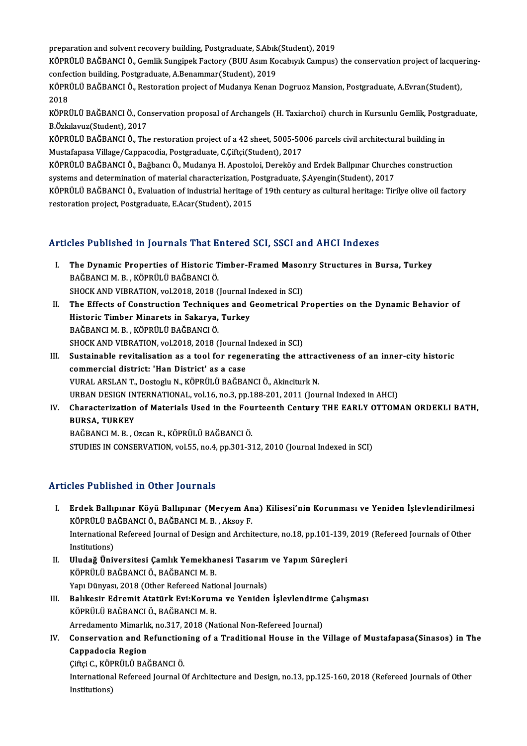preparation and solvent recovery building, Postgraduate, S.Abık(Student), 2019

preparation and solvent recovery building, Postgraduate, S.Abık(Student), 2019<br>KÖPRÜLÜ BAĞBANCI Ö., Gemlik Sungipek Factory (BUU Asım Kocabıyık Campus) the conservation project of lacqueringpreparation and solvent recovery building, Postgraduate, S.Abık<br>KÖPRÜLÜ BAĞBANCI Ö., Gemlik Sungipek Factory (BUU Asım Ko<br>confection building, Postgraduate, A.Benammar(Student), 2019<br>KÖPPÜLÜ BAĞBANCI Ö. Besterstien prejest KÖPRÜLÜ BAĞBANCI Ö., Gemlik Sungipek Factory (BUU Asım Kocabıyık Campus) the conservation project of lacque<br>confection building, Postgraduate, A.Benammar(Student), 2019<br>KÖPRÜLÜ BAĞBANCI Ö., Restoration project of Mudanya K

confection building, Postgraduate, A.Benammar(Student), 2019<br>KÖPRÜLÜ BAĞBANCI Ö., Restoration project of Mudanya Kenan Dogruoz Mansion, Postgraduate, A.Evran(Student),<br>2018 KÖPRÜLÜ BAĞBANCI Ö., Restoration project of Mudanya Kenan Dogruoz Mansion, Postgraduate, A.Evran(Student),<br>2018<br>KÖPRÜLÜ BAĞBANCI Ö., Conservation proposal of Archangels (H. Taxiarchoi) church in Kursunlu Gemlik, Postgradua

2018<br>KÖPRÜLÜ BAĞBANCI Ö., Cor<br>B.Özkılavuz(Student), 2017<br>KÖPPÜLÜ BAĞPANCI Ö., The KÖPRÜLÜ BAĞBANCI Ö., Conservation proposal of Archangels (H. Taxiarchoi) church in Kursunlu Gemlik, Postg<br>B.Özkılavuz(Student), 2017<br>KÖPRÜLÜ BAĞBANCI Ö., The restoration project of a 42 sheet, 5005-5006 parcels civil archi

B.Özkılavuz(Student), 2017<br>KÖPRÜLÜ BAĞBANCI Ö., The restoration project of a 42 sheet, 5005-5006 parcels civil architectural building in<br>Mustafapasa Village/Cappacodia, Postgraduate, C.Çiftçi(Student), 2017 KÖPRÜLÜ BAĞBANCI Ö., The restoration project of a 42 sheet, 5005-5006 parcels civil architectural building in<br>Mustafapasa Village/Cappacodia, Postgraduate, C.Çiftçi(Student), 2017<br>KÖPRÜLÜ BAĞBANCI Ö., Bağbancı Ö., Mudanya

Mustafapasa Village/Cappacodia, Postgraduate, C.Çiftçi(Student), 2017<br>KÖPRÜLÜ BAĞBANCI Ö., Bağbancı Ö., Mudanya H. Apostoloi, Dereköy and Erdek Ballpınar Church<br>systems and determination of material characterization, Postg KÖPRÜLÜ BAĞBANCI Ö., Bağbancı Ö., Mudanya H. Apostoloi, Dereköy and Erdek Ballpınar Churches construction<br>systems and determination of material characterization, Postgraduate, Ş.Ayengin(Student), 2017<br>KÖPRÜLÜ BAĞBANCI Ö.,

systems and determination of material characterization, Postgraduate, Ş.Ayengin(Student), 2017<br>KÖPRÜLÜ BAĞBANCI Ö., Evaluation of industrial heritage of 19th century as cultural heritage: Tirilye olive oil factory<br>restorat

## Articles Published in Journals That Entered SCI, SSCI and AHCI Indexes

- rticles Published in Journals That Entered SCI, SSCI and AHCI Indexes<br>I. The Dynamic Properties of Historic Timber-Framed Masonry Structures in Bursa, Turkey<br>RAČPANCLM B. KÖPPÜLÜ PAČPANCLÖ The Dynamic Properties of Historic T<br>BAĞBANCI M. B. , KÖPRÜLÜ BAĞBANCI Ö.<br>SHOCK AND VIPPATION vel 2018-2018 ( The Dynamic Properties of Historic Timber-Framed Masor<br>BAĞBANCI M. B. , KÖPRÜLÜ BAĞBANCI Ö.<br>SHOCK AND VIBRATION, vol.2018, 2018 (Journal Indexed in SCI)<br>The Effects of Construction Techniques and Coometrical B BAĞBANCI M. B. , KÖPRÜLÜ BAĞBANCI Ö.<br>SHOCK AND VIBRATION, vol.2018, 2018 (Journal Indexed in SCI)<br>II. The Effects of Construction Techniques and Geometrical Properties on the Dynamic Behavior of<br>Historic Timber Minaret
- SHOCK AND VIBRATION, vol.2018, 2018 (Journal In<br>The Effects of Construction Techniques and (<br>Historic Timber Minarets in Sakarya, Turkey<br>RAČRANCI M. R., KÖRRÍJI ÜRAČRANCI Ö The Effects of Construction Techniqu<br>Historic Timber Minarets in Sakarya,<br>BAĞBANCI M.B., KÖPRÜLÜ BAĞBANCI Ö.<br>SHOCK AND VIPPATION vol 2012-2012 ( Historic Timber Minarets in Sakarya, Turkey<br>BAĞBANCI M. B. , KÖPRÜLÜ BAĞBANCI Ö.<br>SHOCK AND VIBRATION, vol.2018, 2018 (Journal Indexed in SCI)
- III. Sustainable revitalisation as a tool for regenerating the attractiveness of an inner-city historic commercial district: 'Han District' as a case VURALARSLANT.,DostogluN.,KÖPRÜLÜBAĞBANCIÖ.,AkinciturkN. URBANDESIGNINTERNATIONAL,vol.16,no.3,pp.188-201,2011 (Journal Indexed inAHCI) VURAL ARSLAN T., Dostoglu N., KÖPRÜLÜ BAĞBANCI Ö., Akinciturk N.<br>URBAN DESIGN INTERNATIONAL, vol.16, no.3, pp.188-201, 2011 (Journal Indexed in AHCI)<br>IV. Characterization of Materials Used in the Fourteenth Century THE
- URBAN DESIGN IN<br>Characterization<br>BURSA, TURKEY<br>PAČPANCI M-P BURSA, TURKEY<br>BAĞBANCI M. B. , Ozcan R., KÖPRÜLÜ BAĞBANCI Ö.

STUDIES IN CONSERVATION, vol.55, no.4, pp.301-312, 2010 (Journal Indexed in SCI)

## Articles Published in Other Journals

- I. Erdek Ballıpınar Köyü Ballıpınar (Meryem Ana) Kilisesi'nin Korunması ve Yeniden İşlevlendirilmesi<br>I. Erdek Ballıpınar Köyü Ballıpınar (Meryem Ana) Kilisesi'nin Korunması ve Yeniden İşlevlendirilmesi<br>Köppül ü BAČBANCLÖ, 1991 - Abiishoù in Other Journals<br>Erdek Ballıpınar Köyü Ballıpınar (Meryem An<br>KÖPRÜLÜ BAĞBANCI Ö., BAĞBANCI M. B. , Aksoy F.<br>International Befereed Journal of Design and Archii Erdek Ballıpınar Köyü Ballıpınar (Meryem Ana) Kilisesi'nin Korunması ve Yeniden İşlevlendirilmesi<br>KÖPRÜLÜ BAĞBANCI Ö., BAĞBANCI M. B. , Aksoy F.<br>International Refereed Journal of Design and Architecture, no.18, pp.101-139, KÖPRÜLÜ BAĞBANCI Ö., BAĞBANCI M. B. , Aksoy F.<br>International Refereed Journal of Design and Architecture, no.18, pp.101-139, 2019 (Refereed Journals of Other<br>Institutions) International Refereed Journal of Design and Architecture, no.18, pp.101-139,<br>Institutions)<br>II. Uludağ Üniversitesi Çamlık Yemekhanesi Tasarım ve Yapım Süreçleri<br>Köppüli ü PAČPANCI Ö, PAČPANCI M, P
- Institutions)<br>Uludağ Üniversitesi Çamlık Yemekha<br>KÖPRÜLÜ BAĞBANCI Ö., BAĞBANCI M. B.<br>Yanı Dünyası 2018 (Other Befereed Nati Uludağ Üniversitesi Çamlık Yemekhanesi Tasarım<br>KÖPRÜLÜ BAĞBANCI Ö., BAĞBANCI M. B.<br>Yapı Dünyası, 2018 (Other Refereed National Journals)<br>Balıkesir Edramit Atatürk Evi:Koruma ve Yanidan Yapı Dünyası, 2018 (Other Refereed National Journals)
- KÖPRÜLÜ BAĞBANCI Ö., BAĞBANCI M. B.<br>Yapı Dünyası, 2018 (Other Refereed National Journals)<br>III. Balıkesir Edremit Atatürk Evi:Koruma ve Yeniden İşlevlendirme Çalışması<br>KÖPRÜLÜ BAĞBANCI Ö., BAĞBANCI M. B. Balıkesir Edremit Atatürk Evi:Koruma ve Yeniden İşlevlendirm<br>KÖPRÜLÜ BAĞBANCI Ö., BAĞBANCI M. B.<br>Arredamento Mimarlık, no.317, 2018 (National Non-Refereed Journal)<br>Conseguestion and Befunstioning of a Traditional House in
- KÖPRÜLÜ BAĞBANCI Ö., BAĞBANCI M. B.<br>Arredamento Mimarlık, no.317, 2018 (National Non-Refereed Journal)<br>IV. Conservation and Refunctioning of a Traditional House in the Village of Mustafapasa(Sinasos) in The<br>Connedesis Arredamento Mimarlıl<br>Conservation and R<br>Cappadocia Region<br>Cifrai C. Köppül ü PA Conservation and Refunction<br>Cappadocia Region<br>Çiftçi C., KÖPRÜLÜ BAĞBANCI Ö.<br>International Pefereed Jaurnal C

Cappadocia Region<br>Çiftçi C., KÖPRÜLÜ BAĞBANCI Ö.<br>International Refereed Journal Of Architecture and Design, no.13, pp.125-160, 2018 (Refereed Journals of Other Çiftçi C., KÖP<br>Internationa<br>Institutions)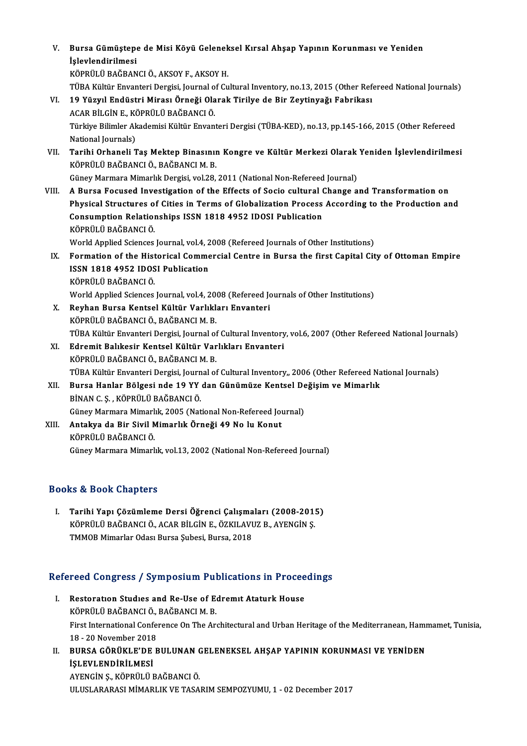# V. Bursa Gümüştepe de Misi Köyü Geleneksel Kırsal Ahşap Yapının Korunması ve Yeniden<br>İslavlandinilmesi **Bursa Gümüştepe**<br>İşlevlendirilmesi<br>Köppülü BAČRAN Bursa Gümüştepe de Misi Köyü Gelenek<br>İşlevlendirilmesi<br>KÖPRÜLÜ BAĞBANCI Ö., AKSOY F., AKSOY H.<br>TÜBA Kültün Enventeri Dergisi Jevrnal of Cu

İşlevlendirilmesi<br>KÖPRÜLÜ BAĞBANCI Ö., AKSOY F., AKSOY H.<br>TÜBA Kültür Envanteri Dergisi, Journal of Cultural Inventory, no.13, 2015 (Other Refereed National Journals)

VI. 19 Yüzyıl Endüstri Mirası Örneği Olarak Tirilye de Bir Zeytinyağı Fabrikası ACARBİLGİNE.,KÖPRÜLÜBAĞBANCIÖ. 19 Yüzyıl Endüstri Mirası Örneği Olarak Tirilye de Bir Zeytinyağı Fabrikası<br>ACAR BİLGİN E., KÖPRÜLÜ BAĞBANCI Ö.<br>Türkiye Bilimler Akademisi Kültür Envanteri Dergisi (TÜBA-KED), no.13, pp.145-166, 2015 (Other Refereed<br>Nation ACAR BİLGİN E., KÖ<br>Türkiye Bilimler Ak<br>National Journals)<br>Tarihi Orhanali T Türkiye Bilimler Akademisi Kültür Envanteri Dergisi (TÜBA-KED), no.13, pp.145-166, 2015 (Other Refereed<br>National Journals)<br>VII. Tarihi Orhaneli Taş Mektep Binasının Kongre ve Kültür Merkezi Olarak Yeniden İşlevlendiril National Journals)<br><mark>Tarihi Orhaneli Taş Mektep Binasınıı</mark><br>KÖPRÜLÜ BAĞBANCI Ö., BAĞBANCI M. B.<br>Cünev Mermara Mimarlık Dergisi vel 29 Tarihi Orhaneli Taş Mektep Binasının Kongre ve Kültür Merkezi Olarak<br>KÖPRÜLÜ BAĞBANCI Ö., BAĞBANCI M. B.<br>Güney Marmara Mimarlık Dergisi, vol.28, 2011 (National Non-Refereed Journal)<br>A Bunsa Fosused Investigation of the Eff KÖPRÜLÜ BAĞBANCI Ö., BAĞBANCI M. B.<br>Güney Marmara Mimarlık Dergisi, vol.28, 2011 (National Non-Refereed Journal)<br>VIII. A Bursa Focused Investigation of the Effects of Socio cultural Change and Transformation on Physical Structures of Cities in Terms of Globalization Process According to the Production and A Bursa Focused Investigation of the Effects of Socio cultural (<br>Physical Structures of Cities in Terms of Globalization Process<br>Consumption Relationships ISSN 1818 4952 IDOSI Publication<br>Köppül ü BAČBANCLÖ Physical Structures o<br>Consumption Relation<br>KÖPRÜLÜ BAĞBANCI Ö.<br>World Annlied Sciences Consumption Relationships ISSN 1818 4952 IDOSI Publication<br>KÖPRÜLÜ BAĞBANCI Ö.<br>World Applied Sciences Journal, vol.4, 2008 (Refereed Journals of Other Institutions)<br>Formation of the Historical Commonsial Contre in Bunge th

- KÖPRÜLÜ BAĞBANCI Ö.<br>World Applied Sciences Journal, vol.4, 2008 (Refereed Journals of Other Institutions)<br>IX. Formation of the Historical Commercial Centre in Bursa the first Capital City of Ottoman Empire<br>ISSN 1919-4052-I World Applied Sciences Journal, vol.4, 2<br>Formation of the Historical Comme<br>ISSN 1818 4952 IDOSI Publication<br>Köppül ü BAČBANCLÖ Formation of the Hist<br>ISSN 1818 4952 IDOS<br>KÖPRÜLÜ BAĞBANCI Ö.<br>Werld Annlied Sciences ISSN 1818 4952 IDOSI Publication<br>KÖPRÜLÜ BAĞBANCI Ö.<br>World Applied Sciences Journal, vol.4, 2008 (Refereed Journals of Other Institutions)<br>Revkan Bunes Kantsel Kültün Verkklanı Envanteri
- KÖPRÜLÜ BAĞBANCI Ö.<br>World Applied Sciences Journal, vol.4, 2008 (Refereed Journal)<br>X. Reyhan Bursa Kentsel Kültür Varlıkları Envanteri<br>Köppüli ü BAĞBANCI Ö. BAĞBANCI M. B World Applied Sciences Journal, vol.4, 20<br><mark>Reyhan Bursa Kentsel Kültür Varlıkl</mark>:<br>KÖPRÜLÜ BAĞBANCI Ö., BAĞBANCI M. B.<br>TÜBA Kültür Envantori Dergisi Journal of Reyhan Bursa Kentsel Kültür Varlıkları Envanteri<br>KÖPRÜLÜ BAĞBANCI Ö., BAĞBANCI M. B.<br>TÜBA Kültür Envanteri Dergisi, Journal of Cultural Inventory, vol.6, 2007 (Other Refereed National Journals)<br>Edromit Balıkosir Kontsel Kü KÖPRÜLÜ BAĞBANCI Ö., BAĞBANCI M. B.<br>TÜBA Kültür Envanteri Dergisi, Journal of Cultural Inventory<br>XI. Edremit Balıkesir Kentsel Kültür Varlıkları Envanteri<br>Köppül ü BAĞBANCI Ö. BAĞBANCI M. B
- TÜBA Kültür Envanteri Dergisi, Journal of<br><mark>Edremit Balıkesir Kentsel Kültür Var</mark><br>KÖPRÜLÜ BAĞBANCI Ö., BAĞBANCI M. B.<br>TÜBA Kültür Envanteri Dergisi Journal of Edremit Balıkesir Kentsel Kültür Varlıkları Envanteri<br>KÖPRÜLÜ BAĞBANCI Ö., BAĞBANCI M. B.<br>TÜBA Kültür Envanteri Dergisi, Journal of Cultural Inventory,, 2006 (Other Refereed National Journals)<br>Pursa Hanlar Bölgesi nda 19 Y KÖPRÜLÜ BAĞBANCI Ö., BAĞBANCI M. B.<br>TÜBA Kültür Envanteri Dergisi, Journal of Cultural Inventory., 2006 (Other Refereed Na<br>XII. Bursa Hanlar Bölgesi nde 19 YY dan Günümüze Kentsel Değişim ve Mimarlık<br>PİNAN C.S. KÖPRÜ
- TÜBA Kültür Envanteri Dergisi, Journ<br>Bursa Hanlar Bölgesi nde 19 YY<br>BİNAN C. Ş. , KÖPRÜLÜ BAĞBANCI Ö.<br>Günev Marmara Mimarlık 2005 (Nat Bursa Hanlar Bölgesi nde 19 YY dan Günümüze Kentsel De<br>BİNAN C. Ş. , KÖPRÜLÜ BAĞBANCI Ö.<br>Güney Marmara Mimarlık, 2005 (National Non-Refereed Journal)<br>Antakya de Bir Sivil Mimarlık Örneği 49 No lu Kanut.
- BİNAN C. Ş., KÖPRÜLÜ BAĞBANCI Ö.<br>Güney Marmara Mimarlık, 2005 (National Non-Refereed Jou<br>XIII. Antakya da Bir Sivil Mimarlık Örneği 49 No lu Konut<br>KÖPRÜLÜ BAĞBANCI Ö. Güney Marmara Mimarl<br><mark>Antakya da Bir Sivil M</mark><br>KÖPRÜLÜ BAĞBANCI Ö.<br>Cünev Marmara Mimarl Güney Marmara Mimarlık, vol.13, 2002 (National Non-Refereed Journal)

# Books&Book Chapters

I. Tarihi Yapı Çözümleme Dersi Öğrenci Çalışmaları (2008-2015) tə di book enaptersi<br>Tarihi Yapı Çözümleme Dersi Öğrenci Çalışmaları (2008-201)<br>KÖPRÜLÜ BAĞBANCI Ö., ACAR BİLGİN E., ÖZKILAVUZ B., AYENGİN Ş.<br>TMMOR Mimarlar Odası Bursa Subasi Bursa 2019 KÖPRÜLÜ BAĞBANCI Ö., ACAR BİLGİN E., ÖZKILAVUZ B., AYENGİN Ş.<br>TMMOB Mimarlar Odası Bursa Şubesi, Bursa, 2018

# IMMOB Mimariar Odasi Bursa Şubesi, Bursa, 2018<br>Refereed Congress / Symposium Publications in Proceedings

- efereed Congress / Symposium Publications in Procee<br>I. Restoration Studies and Re-Use of Edremit Ataturk House I. Restoration Studies and Re-Use of Edremit Ataturk House<br>KÖPRÜLÜ BAĞBANCI Ö., BAĞBANCI M. B. Restoration Studies and Re-Use of Edremit Ataturk House<br>KÖPRÜLÜ BAĞBANCI Ö., BAĞBANCI M. B.<br>First International Conference On The Architectural and Urban Heritage of the Mediterranean, Hammamet, Tunisia,<br>19 . 30 November 3 KÖPRÜLÜ BAĞBANCI Ö.,<br>First International Confer<br>18 - 20 November 2018<br>PURSA CÖPÜKL E'DE E First International Conference On The Architectural and Urban Heritage of the Mediterranean, Hami<br>18 - 20 November 2018<br>II. BURSA GÖRÜKLE'DE BULUNAN GELENEKSEL AHŞAP YAPININ KORUNMASI VE YENİDEN<br>151 EVI ENDİRİLMESİ
- 18 20 November 2018<br>BURSA GÖRÜKLE'DE<br>İŞLEVLENDİRİLMESİ<br>AVENCİN S. KÖPPÜLÜ L BURSA GÖRÜKLE'DE BULUNAN (<br>İŞLEVLENDİRİLMESİ<br>AYENGİN Ş., KÖPRÜLÜ BAĞBANCI Ö.<br>III USLARARASI MİMARLIK VE TASA İŞLEVLENDİRİLMESİ<br>AYENGİN Ş., KÖPRÜLÜ BAĞBANCI Ö.<br>ULUSLARARASI MİMARLIK VE TASARIM SEMPOZYUMU, 1 - 02 December 2017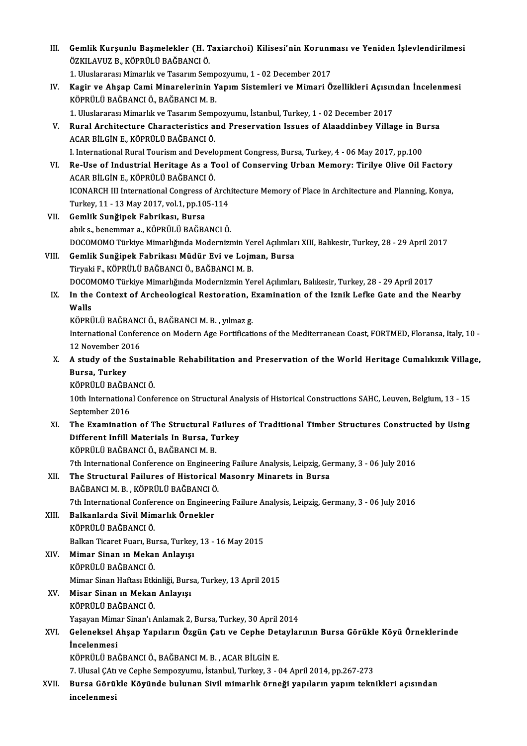| III.  | Gemlik Kurşunlu Başmelekler (H. Taxiarchoi) Kilisesi'nin Korunması ve Yeniden İşlevlendirilmesi<br>ÖZKILAVUZ B., KÖPRÜLÜ BAĞBANCI Ö.                           |
|-------|----------------------------------------------------------------------------------------------------------------------------------------------------------------|
|       | 1. Uluslararası Mimarlık ve Tasarım Sempozyumu, 1 - 02 December 2017                                                                                           |
| IV.   | Kagir ve Ahşap Cami Minarelerinin Yapım Sistemleri ve Mimari Özellikleri Açısından İncelenmesi<br>KÖPRÜLÜ BAĞBANCI Ö., BAĞBANCI M. B.                          |
|       | 1. Uluslararası Mimarlık ve Tasarım Sempozyumu, İstanbul, Turkey, 1 - 02 December 2017                                                                         |
| V.    | Rural Architecture Characteristics and Preservation Issues of Alaaddinbey Village in Bursa<br>ACAR BİLGİN E., KÖPRÜLÜ BAĞBANCI Ö.                              |
|       | I. International Rural Tourism and Development Congress, Bursa, Turkey, 4 - 06 May 2017, pp.100                                                                |
| VI.   | Re-Use of Industrial Heritage As a Tool of Conserving Urban Memory: Tirilye Olive Oil Factory<br>ACAR BİLGİN E., KÖPRÜLÜ BAĞBANCI Ö.                           |
|       | ICONARCH III International Congress of Architecture Memory of Place in Architecture and Planning, Konya,<br>Turkey, 11 - 13 May 2017, vol 1, pp 105-114        |
| VII.  | Gemlik Sunğipek Fabrikası, Bursa                                                                                                                               |
|       | abık s., benemmar a., KÖPRÜLÜ BAĞBANCI Ö.                                                                                                                      |
| VIII. | DOCOMOMO Türkiye Mimarlığında Modernizmin Yerel Açılımları XIII, Balıkesir, Turkey, 28 - 29 April 2017<br>Gemlik Sunğipek Fabrikası Müdür Evi ve Lojman, Bursa |
|       | Tiryaki F., KÖPRÜLÜ BAĞBANCI Ö., BAĞBANCI M. B.                                                                                                                |
|       | DOCOMOMO Türkiye Mimarlığında Modernizmin Yerel Açılımları, Balıkesir, Turkey, 28 - 29 April 2017                                                              |
| IX.   | In the Context of Archeological Restoration, Examination of the Iznik Lefke Gate and the Nearby                                                                |
|       | Walls                                                                                                                                                          |
|       | KÖPRÜLÜ BAĞBANCI Ö., BAĞBANCI M. B., yılmaz g.                                                                                                                 |
|       | International Conference on Modern Age Fortifications of the Mediterranean Coast, FORTMED, Floransa, Italy, 10 -<br>12 November 2016                           |
| X.    | A study of the Sustainable Rehabilitation and Preservation of the World Heritage Cumalikizik Village,                                                          |
|       | Bursa, Turkey                                                                                                                                                  |
|       | KÖPRÜLÜ BAĞBANCI Ö.                                                                                                                                            |
|       | 10th International Conference on Structural Analysis of Historical Constructions SAHC, Leuven, Belgium, 13 - 15                                                |
|       | September 2016                                                                                                                                                 |
| XI.   | The Examination of The Structural Failures of Traditional Timber Structures Constructed by Using                                                               |
|       | Different Infill Materials In Bursa, Turkey                                                                                                                    |
|       | KÖPRÜLÜ BAĞBANCI Ö., BAĞBANCI M. B.                                                                                                                            |
|       | 7th International Conference on Engineering Failure Analysis, Leipzig, Germany, 3 - 06 July 2016                                                               |
| XII.  | The Structural Failures of Historical Masonry Minarets in Bursa<br>BAĞBANCI M. B., KÖPRÜLÜ BAĞBANCI Ö.                                                         |
|       | 7th International Conference on Engineering Failure Analysis, Leipzig, Germany, 3 - 06 July 2016                                                               |
| XIII. | Balkanlarda Sivil Mimarlık Örnekler                                                                                                                            |
|       | KÖPRÜLÜ BAĞBANCI Ö.                                                                                                                                            |
|       | Balkan Ticaret Fuarı, Bursa, Turkey, 13 - 16 May 2015                                                                                                          |
| XIV.  | Mimar Sinan in Mekan Anlayışı                                                                                                                                  |
|       | KÖPRÜLÜ BAĞBANCI Ö.                                                                                                                                            |
|       | Mimar Sinan Haftası Etkinliği, Bursa, Turkey, 13 April 2015                                                                                                    |
| XV.   | Misar Sinan in Mekan Anlayışı<br>KÖPRÜLÜ BAĞBANCI Ö.                                                                                                           |
|       | Yaşayan Mimar Sinan'ı Anlamak 2, Bursa, Turkey, 30 April 2014                                                                                                  |
| XVI.  | Geleneksel Ahşap Yapıların Özgün Çatı ve Cephe Detaylarının Bursa Görükle Köyü Örneklerinde                                                                    |
|       | <i>incelenmesi</i>                                                                                                                                             |
|       | KÖPRÜLÜ BAĞBANCI Ö., BAĞBANCI M. B., ACAR BİLGİN E.                                                                                                            |
|       | 7. Ulusal ÇAtı ve Cephe Sempozyumu, İstanbul, Turkey, 3 - 04 April 2014, pp.267-273                                                                            |
| XVII. | Bursa Görükle Köyünde bulunan Sivil mimarlık örneği yapıların yapım teknikleri açısından                                                                       |
|       | incelenmesi                                                                                                                                                    |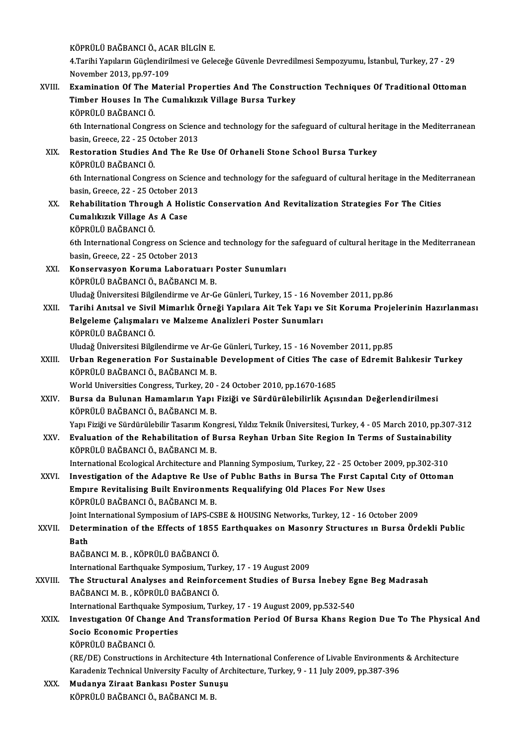KÖPRÜLÜ BAĞBANCI Ö., ACAR BİLGİN E.<br>4 Tarihi Yapıların Güsləndirilmesi ve Cele

4.Tarihi Yapıların Güçlendirilmesi ve Geleceğe Güvenle Devredilmesi Sempozyumu, İstanbul, Turkey, 27 - 29<br>November 2013, pp.97-109 KÖPRÜLÜ BAĞBANCI Ö., ACA<br>4.Tarihi Yapıların Güçlendiril<br>November 2013, pp.97-109<br>Evemination Of The Mate 4.Tarihi Yapıların Güçlendirilmesi ve Geleceğe Güvenle Devredilmesi Sempozyumu, İstanbul, Turkey, 27 - 29<br>November 2013, pp.97-109<br>XVIII. Examination Of The Material Properties And The Construction Techniques Of Traditiona

# November 2013, pp.97-109<br>Examination Of The Material Properties And The Constra<br>Timber Houses In The Cumalıkızık Village Bursa Turkey<br>Köppül ü BAČBANCLÖ Examination Of The M<br>Timber Houses In The<br>KÖPRÜLÜ BAĞBANCI Ö.<br><sup>Eth International Congre</sup> Timber Houses In The Cumalıkızık Village Bursa Turkey<br>KÖPRÜLÜ BAĞBANCI Ö.<br>6th International Congress on Science and technology for the safeguard of cultural heritage in the Mediterranean<br>basin Creess 22, 25 Osteber 2012.

KÖPRÜLÜ BAĞBANCI Ö.<br>6th International Congress on Scienc<br>basin, Greece, 22 - 25 October 2013<br>Bostoration Studies And The Be 6th International Congress on Science and technology for the safeguard of cultural her<br>basin, Greece, 22 - 25 October 2013<br>XIX. Restoration Studies And The Re Use Of Orhaneli Stone School Bursa Turkey<br>võppül ü PAČPANCLÖ

# basin, Greece, 22 - 25 O<br>Restoration Studies<br>KÖPRÜLÜ BAĞBANCI Ö.<br><sup>Eth</sup> International Congre Restoration Studies And The Re Use Of Orhaneli Stone School Bursa Turkey<br>KÖPRÜLÜ BAĞBANCI Ö.<br>6th International Congress on Science and technology for the safeguard of cultural heritage in the Mediterranean<br>basin Creese 22, KÖPRÜLÜ BAĞBANCI Ö.<br>6th International Congress on Scienc<br>basin, Greece, 22 - 25 October 2013<br>Bohabilitation Through A Holisti

6th International Congress on Science and technology for the safeguard of cultural heritage in the Medit<br>basin, Greece, 22 - 25 October 2013<br>XX. Rehabilitation Through A Holistic Conservation And Revitalization Strategies basin, Greece, 22 - 25 October 20<br>Rehabilitation Through A Hol:<br>Cumalıkızık Village As A Case<br>Köppül ü BAČBANCI Ö Rehabilitation Throug<br>Cumalıkızık Village As<br>KÖPRÜLÜ BAĞBANCI Ö.<br><sup>Eth Intornational Congre</sup> Cumalıkızık Village As A Case<br>KÖPRÜLÜ BAĞBANCI Ö.<br>6th International Congress on Science and technology for the safeguard of cultural heritage in the Mediterranean<br>besin Creess 22, 25 Osteber 2012.

KÖPRÜLÜ BAĞBANCI Ö.<br>6th International Congress on Scienc<br>basin, Greece, 22 - 25 October 2013<br>Konservesven Konuma Labenstu 6th International Congress on Science and technology for the<br>basin, Greece, 22 - 25 October 2013<br>XXI. Konservasyon Koruma Laboratuarı Poster Sunumları<br>vöppül ü BAČBANCI Ö, BAČBANCI M, B

- basin, Greece, 22 25 October 2013<br><mark>Konservasyon Koruma Laboratuarı</mark> I<br>KÖPRÜLÜ BAĞBANCI Ö., BAĞBANCI M. B.<br>Illudeğ Üniversitesi Bilsilandirme ve Ar G Konservasyon Koruma Laboratuarı Poster Sunumları<br>KÖPRÜLÜ BAĞBANCI Ö., BAĞBANCI M. B.<br>Uludağ Üniversitesi Bilgilendirme ve Ar-Ge Günleri, Turkey, 15 - 16 November 2011, pp.86<br>Tarihi Anttal ve Sivil Mimarlık Önneği Yanılara
- KÖPRÜLÜ BAĞBANCI Ö., BAĞBANCI M. B.<br>Uludağ Üniversitesi Bilgilendirme ve Ar-Ge Günleri, Turkey, 15 16 November 2011, pp.86<br>XXII. Tarihi Anıtsal ve Sivil Mimarlık Örneği Yapılara Ait Tek Yapı ve Sit Koruma Projelerini Uludağ Üniversitesi Bilgilendirme ve Ar-Ge Günleri, Turkey, 15 - 16 Nov<br>Tarihi Anıtsal ve Sivil Mimarlık Örneği Yapılara Ait Tek Yapı ve<br>Belgeleme Çalışmaları ve Malzeme Analizleri Poster Sunumları<br>Köppül ü PAČPANCLÖ Tarihi Anıtsal ve Sivil<br>Belgeleme Çalışmalar<br>KÖPRÜLÜ BAĞBANCI Ö.<br>Uludağ Üniversitesi Bilgi Belgeleme Çalışmaları ve Malzeme Analizleri Poster Sunumları<br>KÖPRÜLÜ BAĞBANCI Ö.<br>Uludağ Üniversitesi Bilgilendirme ve Ar-Ge Günleri, Turkey, 15 - 16 November 2011, pp.85

KÖPRÜLÜ BAĞBANCI Ö.<br>Uludağ Üniversitesi Bilgilendirme ve Ar-Ge Günleri, Turkey, 15 - 16 November 2011, pp.85<br>XXIII. Urban Regeneration For Sustainable Development of Cities The case of Edremit Balıkesir Turkey<br>Köppül ü RAČ KÖPRÜLÜ BAĞBANCI Ö., BAĞBANCI M. B.<br>World Universities Congress, Turkey, 20 - 24 October 2010, pp.1670-1685 Urban Regeneration For Sustainable Development of Cities The ca<br>KÖPRÜLÜ BAĞBANCI Ö., BAĞBANCI M. B.<br>World Universities Congress, Turkey, 20 - 24 October 2010, pp.1670-1685<br>Burse de Bulunen Hememlerin Veni Fiziği ve Sündürü

# XXIV. Bursa da Bulunan Hamamların Yapı Fiziği ve Sürdürülebilirlik Açısından Değerlendirilmesi KÖPRÜLÜ BAĞBANCI Ö., BAĞBANCI M. B. Bursa da Bulunan Hamamların Yapı Fiziği ve Sürdürülebilirlik Açısından Değerlendirilmesi<br>KÖPRÜLÜ BAĞBANCI Ö., BAĞBANCI M. B.<br>Yapı Fiziği ve Sürdürülebilir Tasarım Kongresi, Yıldız Teknik Üniversitesi, Turkey, 4 - 05 March

KÖPRÜLÜ BAĞBANCI Ö., BAĞBANCI M. B.<br>Yapı Fiziği ve Sürdürülebilir Tasarım Kongresi, Yıldız Teknik Üniversitesi, Turkey, 4 - 05 March 2010, pp.307<br>XXV. Evaluation of the Rehabilitation of Bursa Reyhan Urban Site Region Yapı Fiziği ve Sürdürülebilir Tasarım Kon<br><mark>Evaluation of the Rehabilitation of B</mark><br>KÖPRÜLÜ BAĞBANCI Ö., BAĞBANCI M. B.<br>International Ecological Arebitecture and Evaluation of the Rehabilitation of Bursa Reyhan Urban Site Region In Terms of Sustainability<br>KÖPRÜLÜ BAĞBANCI Ö., BAĞBANCI M. B.<br>International Ecological Architecture and Planning Symposium, Turkey, 22 - 25 October 2009,

KÖPRÜLÜ BAĞBANCI Ö., BAĞBANCI M. B.<br>International Ecological Architecture and Planning Symposium, Turkey, 22 - 25 October 2009, pp.302-310<br>XXVI. Investigation of the Adaptıve Re Use of Public Baths in Bursa The First Capit International Ecological Architecture and Planning Symposium, Turkey, 22 - 25 October 2<br>Investigation of the Adaptive Re Use of Public Baths in Bursa The First Capital<br>Empire Revitalising Built Environments Requalifying Ol Investigation of the Adaptive Re Use of Public Baths in Bursa The First Capital City of Ottoman<br>Empire Revitalising Built Environments Requalifying Old Places For New Uses<br>KÖPRÜLÜ BAĞBANCI Ö., BAĞBANCI M. B.

Joint International Symposium of IAPS-CSBE & HOUSING Networks, Turkey, 12 - 16 October 2009

KÖPRÜLÜ BAĞBANCI Ö., BAĞBANCI M. B.<br>Joint International Symposium of IAPS-CSBE & HOUSING Networks, Turkey, 12 - 16 October 2009<br>XXVII. Determination of the Effects of 1855 Earthquakes on Masonry Structures ın Bursa Örd **Joint I**<br>Deter<br>Bath<br><sub>PAČP</sub> Determination of the Effects of 1855<br>Bath<br>BAĞBANCI M. B. , KÖPRÜLÜ BAĞBANCI Ö.<br>International Ferthauelie Symnesium Tur Bath<br>BAĞBANCI M. B. , KÖPRÜLÜ BAĞBANCI Ö.<br>International Earthquake Symposium, Turkey, 17 - 19 August 2009<br>The Structurel Analyses and Beinforsement Studies of Burs

BAĞBANCI M. B. , KÖPRÜLÜ BAĞBANCI Ö.<br>International Earthquake Symposium, Turkey, 17 - 19 August 2009<br>XXVIII. The Structural Analyses and Reinforcement Studies of Bursa İnebey Egne Beg Madrasah<br>RAČPANCI M B. KÖPPÜLÜ PAČ International Earthquake Symposium, Tur<br>The Structural Analyses and Reinforc<br>BAĞBANCI M. B. , KÖPRÜLÜ BAĞBANCI Ö.<br>International Ferthquake Symposium Tur The Structural Analyses and Reinforcement Studies of Bursa İnebey Eg<br>BAĞBANCI M. B. , KÖPRÜLÜ BAĞBANCI Ö.<br>International Earthquake Symposium, Turkey, 17 - 19 August 2009, pp.532-540<br>Investration Of Change And Transformatio

International Earthquake Symposium, Turkey, 17 - 19 August 2009, pp.532-540

# BAĞBANCI M. B. , KÖPRÜLÜ BAĞBANCI Ö.<br>International Earthquake Symposium, Turkey, 17 - 19 August 2009, pp.532-540<br>XXIX. Investigation Of Change And Transformation Period Of Bursa Khans Region Due To The Physical And<br>Soc

KÖPRÜLÜ BAĞBANCI Ö.

Socio Economic Properties<br>KÖPRÜLÜ BAĞBANCI Ö.<br>(RE/DE) Constructions in Architecture 4th International Conference of Livable Environments & Architecture<br>Kanadoniz Technical University Easylty of Architecture, Turkey, 9,, 44 KÖPRÜLÜ BAĞBANCI Ö.<br>(RE/DE) Constructions in Architecture 4th International Conference of Livable Environments<br>Karadeniz Technical University Faculty of Architecture, Turkey, 9 - 11 July 2009, pp.387-396<br>Mudanya Zinaat Ban (RE/DE) Constructions in Architecture 4th In<br>Karadeniz Technical University Faculty of Arc<br>XXX. Mudanya Ziraat Bankası Poster Sunuşu<br>Köppül ü BAČBANCLÖ, BAČBANCLM B

Karadeniz Technical University Faculty of<br><mark>Mudanya Ziraat Bankası Poster Sun</mark><br>KÖPRÜLÜ BAĞBANCI Ö., BAĞBANCI M. B.